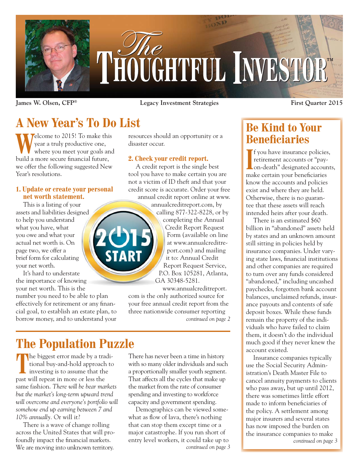

**James W. Olsen, CFP® Legacy Investment Strategies First Quarter 2015**

# **A New Year's To Do List**

Welcome to 2015! To make this<br>
where you meet your goals and year a truly productive one, build a more secure financial future, we offer the following suggested New Year's resolutions.

#### **1. Update or create your personal net worth statement.**

This is a listing of your assets and liabilities designed to help you understand what you have, what you owe and what your actual net worth is. On page two, we offer a brief form for calculating your net worth.

It's hard to understate the importance of knowing your net worth. This is the

number you need to be able to plan effectively for retirement or any financial goal, to establish an estate plan, to borrow money, and to understand your

resources should an opportunity or a disaster occur.

#### **2. Check your credit report.**

A credit report is the single best tool you have to make certain you are not a victim of ID theft and that your credit score is accurate. Order your free annual credit report online at www.

> annualcreditreport.com, by calling 877-322-8228, or by completing the Annual Credit Report Request Form (available on line at www.annualcreditreport.com) and mailing it to: Annual Credit Report Request Service, P.O. Box 105281, Atlanta, GA 30348-5281.

www.annualcreditreport. com is the only authorized source for your free annual credit report from the three nationwide consumer reporting *continued on page 2*

## **The Population Puzzle**

The biggest error made by a traditional buy-and-hold approach to<br>investing is to assume that the tional buy-and-hold approach to investing is to assume that the past will repeat in more or less the same fashion. *There will be bear markets but the market's long-term upward trend will overcome and everyone's portfolio will somehow end up earning between 7 and 10% annually.* Or will it?

There is a wave of change rolling across the United States that will profoundly impact the financial markets. We are moving into unknown territory.

There has never been a time in history with so many older individuals and such a proportionally smaller youth segment. That affects all the cycles that make up the market from the rate of consumer spending and investing to workforce capacity and government spending.

Demographics can be viewed somewhat as flow of lava, there's nothing that can stop them except time or a major catastrophe. If you run short of entry level workers, it could take up to *continued on page 3*

### **Be Kind to Your Beneficiaries**

**I I**f you have insurance policies,<br>
retirement accounts or "pay-<br>
on-death" designated accounts retirement accounts or "payon-death" designated accounts, make certain your beneficiaries know the accounts and policies exist and where they are held. Otherwise, there is no guarantee that these assets will reach intended heirs after your death.

There is an estimated \$60 billion in "abandoned" assets held by states and an unknown amount still sitting in policies held by insurance companies. Under varying state laws, financial institutions and other companies are required to turn over any funds considered "abandoned," including uncashed paychecks, forgotten bank account balances, unclaimed refunds, insurance payouts and contents of safe deposit boxes. While these funds remain the property of the individuals who have failed to claim them, it doesn't do the individual much good if they never knew the account existed.

Insurance companies typically use the Social Security Administration's Death Master File to cancel annuity payments to clients who pass away**,** but up until 2012, there was sometimes little effort made to inform beneficiaries of the policy. A settlement among major insurers and several states has now imposed the burden on the insurance companies to make *continued on page 3*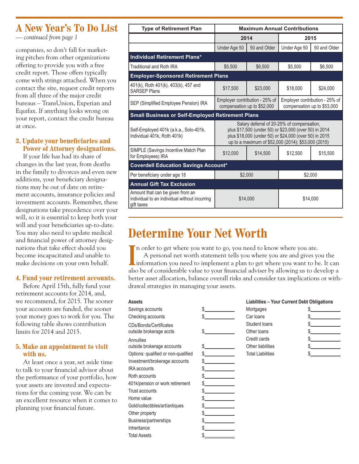### **A New Year's To Do List**

*— continued from page 1*

companies, so don't fall for marketing pitches from other organizations offering to provide you with a free credit report. Those offers typically come with strings attached. When you contact the site, request credit reports from all three of the major credit bureaus – TransUnion, Experian and Equifax. If anything looks wrong on your report, contact the credit bureau at once.

#### **3. Update your beneficiaries and Power of Attorney designations.**

If your life has had its share of changes in the last year, from deaths in the family to divorces and even new additions, your beneficiary designations may be out of date on retirement accounts, insurance policies and investment accounts. Remember, these designations take precedence over your will, so it is essential to keep both your will and your beneficiaries up-to-date. You may also need to update medical and financial power of attorney designations that take effect should you become incapacitated and unable to make decisions on your own behalf.

#### **4. Fund your retirement accounts.**

Before April 15th, fully fund your retirement accounts for 2014, and, we recommend, for 2015. The sooner your accounts are funded, the sooner your money goes to work for you. The following table shows contribution limits for 2014 and 2015.

#### **5. Make an appointment to visit with us.**

At least once a year, set aside time to talk to your financial advisor about the performance of your portfolio, how your assets are invested and expectations for the coming year. We can be an excellent resource when it comes to planning your financial future.

| <b>Type of Retirement Plan</b>                                                                  | <b>Maximum Annual Contributions</b>                                                                                                                                                                                   |              |                                                               |              |  |  |
|-------------------------------------------------------------------------------------------------|-----------------------------------------------------------------------------------------------------------------------------------------------------------------------------------------------------------------------|--------------|---------------------------------------------------------------|--------------|--|--|
|                                                                                                 | 2014                                                                                                                                                                                                                  |              | 2015                                                          |              |  |  |
|                                                                                                 | Under Age 50                                                                                                                                                                                                          | 50 and Older | Under Age 50                                                  | 50 and Older |  |  |
| <b>Individual Retirement Plans*</b>                                                             |                                                                                                                                                                                                                       |              |                                                               |              |  |  |
| Traditional and Roth IRA                                                                        | \$5,500                                                                                                                                                                                                               | \$6,500      | \$5,500                                                       | \$6,500      |  |  |
| <b>Employer-Sponsored Retirement Plans</b>                                                      |                                                                                                                                                                                                                       |              |                                                               |              |  |  |
| 401(k), Roth 401(k), 403(b), 457 and<br><b>SARSEP Plans</b>                                     | \$17,500                                                                                                                                                                                                              | \$23,000     | \$18,000                                                      | \$24,000     |  |  |
| SEP (Simplified Employee Pension) IRA                                                           | Employer contribution - 25% of<br>compensation up to \$52,000                                                                                                                                                         |              | Employer contribution - 25% of<br>compensation up to \$53,000 |              |  |  |
| <b>Small Business or Self-Employed Retirement Plans</b>                                         |                                                                                                                                                                                                                       |              |                                                               |              |  |  |
| Self-Employed 401k (a.k.a., Solo-401k,<br>Individual 401k, Roth 401k)                           | Salary deferral of 20-25% of compensation,<br>plus \$17,500 (under 50) or \$23,000 (over 50) in 2014<br>plus \$18,000 (under 50) or \$24,000 (over 50) in 2015<br>up to a maximum of \$52,000 (2014); \$53,000 (2015) |              |                                                               |              |  |  |
| SIMPLE (Savings Incentive Match Plan<br>for Employees) IRA                                      | \$12,000                                                                                                                                                                                                              | \$14,500     | \$12,500                                                      | \$15,500     |  |  |
| <b>Coverdell Education Savings Account*</b>                                                     |                                                                                                                                                                                                                       |              |                                                               |              |  |  |
| Per beneficiary under age 18                                                                    | \$2,000                                                                                                                                                                                                               |              | \$2,000                                                       |              |  |  |
| <b>Annual Gift Tax Exclusion</b>                                                                |                                                                                                                                                                                                                       |              |                                                               |              |  |  |
| Amount that can be given from an<br>individual to an individual without incurring<br>gift taxes | \$14,000                                                                                                                                                                                                              |              | \$14,000                                                      |              |  |  |

## **Determine Your Net Worth**

In order to get where you want to go, you need to know where you are.<br>
A personal net worth statement tells you where you are and gives you the<br>
information you need to implement a plan to get where you want to be. It can If n order to get where you want to go, you need to know where you are. A personal net worth statement tells you where you are and gives you the also be of considerable value to your financial adviser by allowing us to develop a better asset allocation, balance overall risks and consider tax implications or withdrawal strategies in managing your assets.

| <b>Assets</b>                       |    | <b>Liabilities - Your Current Debt Obligations</b> |    |
|-------------------------------------|----|----------------------------------------------------|----|
| Savings accounts                    |    | Mortgages                                          | S  |
| Checking accounts                   | \$ | Car loans                                          | \$ |
| CDs/Bonds/Certificates              |    | Student loans                                      |    |
| outside brokerage accts             | S. | Other loans                                        |    |
| Annuities                           |    | Credit cards                                       |    |
| outside brokerage accounts          | \$ | Other liabilities                                  |    |
| Options: qualified or non-qualified | \$ | <b>Total Liabilities</b>                           |    |
| Investment/brokerage accounts       | \$ |                                                    |    |
| <b>IRA</b> accounts                 |    |                                                    |    |
| Roth accounts                       |    |                                                    |    |
| 401k/pension or work retirement     |    |                                                    |    |
| Trust accounts                      |    |                                                    |    |
| Home value                          |    |                                                    |    |
| Gold/collectibles/art/antiques      |    |                                                    |    |
| Other property                      |    |                                                    |    |
| Business/partnerships               |    |                                                    |    |
| Inheritance                         |    |                                                    |    |
| <b>Total Assets</b>                 |    |                                                    |    |

|                  | <b>Liabilities - Your Current Debt Obligations</b> |
|------------------|----------------------------------------------------|
| M <sub>eff</sub> |                                                    |

| Mortgages                |    |
|--------------------------|----|
| Car Ioans                |    |
| Student Ioans            | S. |
| Other loans              |    |
| Credit cards             |    |
| Other liabilities        |    |
| <b>Total Liabilities</b> |    |
|                          |    |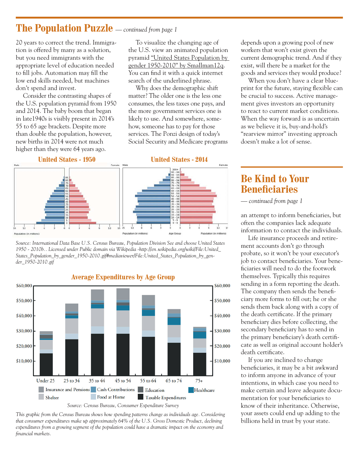### **The Population Puzzle** *— continued from page 1*

20 years to correct the trend. Immigration is offered by many as a solution, but you need immigrants with the appropriate level of education needed to fill jobs. Automation may fill the low end skills needed, but machines don't spend and invest.

Consider the contrasting shapes of the U.S. population pyramid from 1950 and 2014. The baby boom that began in late1940s is visibly present in 2014's 55 to 65 age brackets. Despite more than double the population, however, new births in 2014 were not much higher than they were 64 years ago.

To visualize the changing age of the U.S. view an animated population pyramid "United States Population by gender 1950-2010" by Smallman12q. You can find it with a quick internet search of the underlined phrase.

Why does the demographic shift matter? The older one is the less one consumes, the less taxes one pays, and the more government services one is likely to use. And somewhere, somehow, someone has to pay for those services. The Ponzi design of today's Social Security and Medicare programs





*Source: International Data Base U.S. Census Bureau, Population Division See and choose United States 1950 - 2010b.. Licensed under Public domain via Wikipedia -http://en.wikipedia.org/wiki/File:United\_ States\_Population\_by\_gender\_1950-2010.gif#mediaviewer/File:United\_States\_Population\_by\_gender\_1950-2010.gif*



**Average Expenditures by Age Group**

*This graphic from the Census Bureau shows how spending patterns change as individuals age. Considering that consumer expenditures make up approximately 64% of the U.S. Gross Domestic Product, declining expenditures from a growing segment of the population could have a dramatic impact on the economy and financial markets.*

depends upon a growing pool of new workers that won't exist given the current demographic trend. And if they exist, will there be a market for the goods and services they would produce?

When you don't have a clear blueprint for the future, staying flexible can be crucial to success. Active management gives investors an opportunity to react to current market conditions. When the way forward is as uncertain as we believe it is, buy-and-hold's "rearview mirror" investing approach doesn't make a lot of sense.

### **Be Kind to Your Beneficiaries**

*— continued from page 1*

an attempt to inform beneficiaries, but often the companies lack adequate information to contact the individuals.

Life insurance proceeds and retirement accounts don't go through probate, so it won't be your executor's job to contact beneficiaries. Your beneficiaries will need to do the footwork themselves. Typically this requires sending in a form reporting the death. The company then sends the beneficiary more forms to fill out; he or she sends them back along with a copy of the death certificate. If the primary beneficiary dies before collecting, the secondary beneficiary has to send in the primary beneficiary's death certificate as well as original account holder's death certificate.

If you are inclined to change beneficiaries, it may be a bit awkward to inform anyone in advance of your intentions, in which case you need to make certain and leave adequate documentation for your beneficiaries to know of their inheritance. Otherwise, your assets could end up adding to the billions held in trust by your state.